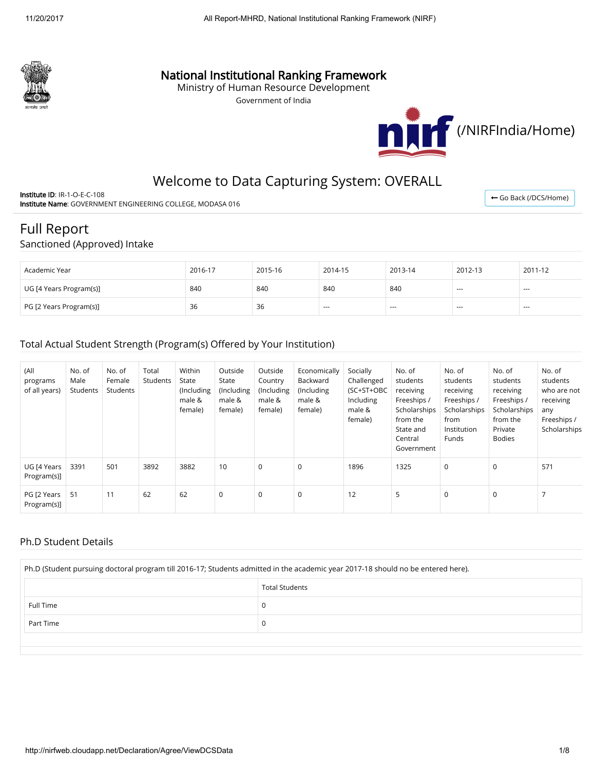

## National Institutional Ranking Framework

Ministry of Human Resource Development

Government of India



← [Go Back \(/DCS/Home\)](http://nirfweb.cloudapp.net/DCS/Home)

# Welcome to Data Capturing System: OVERALL

Institute ID: IR-1-O-E-C-108 Institute Name: GOVERNMENT ENGINEERING COLLEGE, MODASA 016

# Full Report

#### Sanctioned (Approved) Intake

| Academic Year           | 2016-17 | 2015-16 | 2014-15 | 2013-14 | 2012-13                  | 2011-12       |
|-------------------------|---------|---------|---------|---------|--------------------------|---------------|
| UG [4 Years Program(s)] | 840     | 840     | 840     | 840     | $\overline{\phantom{a}}$ | $\cdots$      |
| PG [2 Years Program(s)] | 36      | 36      | $- - -$ | ---     | $\overline{a}$           | $\sim$ $\sim$ |

#### Total Actual Student Strength (Program(s) Offered by Your Institution)

| (All<br>programs<br>of all years) | No. of<br>Male<br>Students | No. of<br>Female<br>Students | Total<br>Students | Within<br>State<br>(Including<br>male &<br>female) | Outside<br>State<br>(Including<br>male &<br>female) | Outside<br>Country<br>(Including<br>male &<br>female) | Economically<br>Backward<br>(Including<br>male &<br>female) | Socially<br>Challenged<br>(SC+ST+OBC<br>Including<br>male &<br>female) | No. of<br>students<br>receiving<br>Freeships /<br>Scholarships<br>from the<br>State and<br>Central<br>Government | No. of<br>students<br>receiving<br>Freeships /<br>Scholarships<br>from<br>Institution<br><b>Funds</b> | No. of<br>students<br>receiving<br>Freeships /<br>Scholarships<br>from the<br>Private<br><b>Bodies</b> | No. of<br>students<br>who are not<br>receiving<br>any<br>Freeships /<br>Scholarships |
|-----------------------------------|----------------------------|------------------------------|-------------------|----------------------------------------------------|-----------------------------------------------------|-------------------------------------------------------|-------------------------------------------------------------|------------------------------------------------------------------------|------------------------------------------------------------------------------------------------------------------|-------------------------------------------------------------------------------------------------------|--------------------------------------------------------------------------------------------------------|--------------------------------------------------------------------------------------|
| UG [4 Years<br>Program(s)]        | 3391                       | 501                          | 3892              | 3882                                               | 10                                                  | $\mathbf 0$                                           | $\mathbf 0$                                                 | 1896                                                                   | 1325                                                                                                             | 0                                                                                                     | 0                                                                                                      | 571                                                                                  |
| PG [2 Years<br>Program(s)]        | 51                         | 11                           | 62                | 62                                                 | $\mathbf 0$                                         | $\mathbf 0$                                           | $\mathbf 0$                                                 | 12                                                                     | 5                                                                                                                | $\mathbf 0$                                                                                           | $\mathbf 0$                                                                                            |                                                                                      |

#### Ph.D Student Details

| Ph.D (Student pursuing doctoral program till 2016-17; Students admitted in the academic year 2017-18 should no be entered here). |                       |  |  |  |  |  |  |  |
|----------------------------------------------------------------------------------------------------------------------------------|-----------------------|--|--|--|--|--|--|--|
|                                                                                                                                  | <b>Total Students</b> |  |  |  |  |  |  |  |
| Full Time                                                                                                                        | U                     |  |  |  |  |  |  |  |
| Part Time                                                                                                                        | u                     |  |  |  |  |  |  |  |
|                                                                                                                                  |                       |  |  |  |  |  |  |  |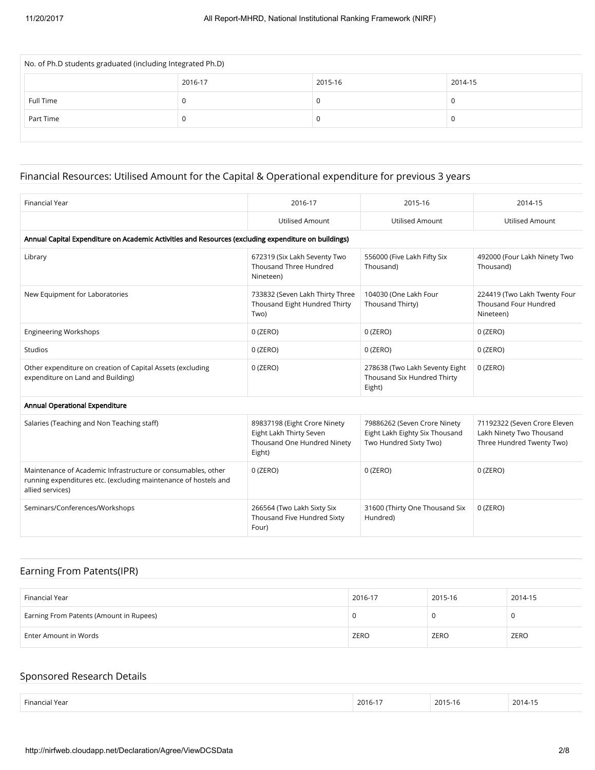| No. of Ph.D students graduated (including Integrated Ph.D) |         |         |         |  |  |  |  |  |
|------------------------------------------------------------|---------|---------|---------|--|--|--|--|--|
|                                                            | 2016-17 | 2015-16 | 2014-15 |  |  |  |  |  |
| Full Time                                                  | U       |         |         |  |  |  |  |  |
| Part Time                                                  | υ       |         |         |  |  |  |  |  |
|                                                            |         |         |         |  |  |  |  |  |

## Financial Resources: Utilised Amount for the Capital & Operational expenditure for previous 3 years

| <b>Financial Year</b>                                                                                                                               | 2016-17                                                                                          | 2015-16                                                                                  | 2014-15                                                                               |
|-----------------------------------------------------------------------------------------------------------------------------------------------------|--------------------------------------------------------------------------------------------------|------------------------------------------------------------------------------------------|---------------------------------------------------------------------------------------|
|                                                                                                                                                     | <b>Utilised Amount</b>                                                                           | <b>Utilised Amount</b>                                                                   | <b>Utilised Amount</b>                                                                |
| Annual Capital Expenditure on Academic Activities and Resources (excluding expenditure on buildings)                                                |                                                                                                  |                                                                                          |                                                                                       |
| Library                                                                                                                                             | 672319 (Six Lakh Seventy Two<br>Thousand Three Hundred<br>Nineteen)                              | 556000 (Five Lakh Fifty Six<br>Thousand)                                                 | 492000 (Four Lakh Ninety Two<br>Thousand)                                             |
| New Equipment for Laboratories                                                                                                                      | 733832 (Seven Lakh Thirty Three<br>Thousand Eight Hundred Thirty<br>Two)                         | 104030 (One Lakh Four<br>Thousand Thirty)                                                | 224419 (Two Lakh Twenty Four<br><b>Thousand Four Hundred</b><br>Nineteen)             |
| <b>Engineering Workshops</b>                                                                                                                        | $0$ (ZERO)                                                                                       | $0$ (ZERO)                                                                               | $0$ (ZERO)                                                                            |
| <b>Studios</b>                                                                                                                                      | $0$ (ZERO)                                                                                       | $0$ (ZERO)                                                                               | $0$ (ZERO)                                                                            |
| Other expenditure on creation of Capital Assets (excluding<br>expenditure on Land and Building)                                                     | $0$ (ZERO)                                                                                       | 278638 (Two Lakh Seventy Eight<br>Thousand Six Hundred Thirty<br>Eight)                  | $0$ (ZERO)                                                                            |
| Annual Operational Expenditure                                                                                                                      |                                                                                                  |                                                                                          |                                                                                       |
| Salaries (Teaching and Non Teaching staff)                                                                                                          | 89837198 (Eight Crore Ninety<br>Eight Lakh Thirty Seven<br>Thousand One Hundred Ninety<br>Eight) | 79886262 (Seven Crore Ninety<br>Eight Lakh Eighty Six Thousand<br>Two Hundred Sixty Two) | 71192322 (Seven Crore Eleven<br>Lakh Ninety Two Thousand<br>Three Hundred Twenty Two) |
| Maintenance of Academic Infrastructure or consumables, other<br>running expenditures etc. (excluding maintenance of hostels and<br>allied services) | $0$ (ZERO)                                                                                       | $0$ (ZERO)                                                                               | $0$ (ZERO)                                                                            |
| Seminars/Conferences/Workshops                                                                                                                      | 266564 (Two Lakh Sixty Six<br>Thousand Five Hundred Sixty<br>Four)                               | 31600 (Thirty One Thousand Six<br>Hundred)                                               | $0$ (ZERO)                                                                            |

### Earning From Patents(IPR)

| Financial Year                          | 2016-17 | 2015-16 | 2014-15 |
|-----------------------------------------|---------|---------|---------|
| Earning From Patents (Amount in Rupees) |         |         |         |
| Enter Amount in Words                   | ZERO    | ZERO    | ZERO    |

### Sponsored Research Details

| Financi.<br>Year<br>$ -$ | 2016-1 | 2015-16 | 2014-1 |
|--------------------------|--------|---------|--------|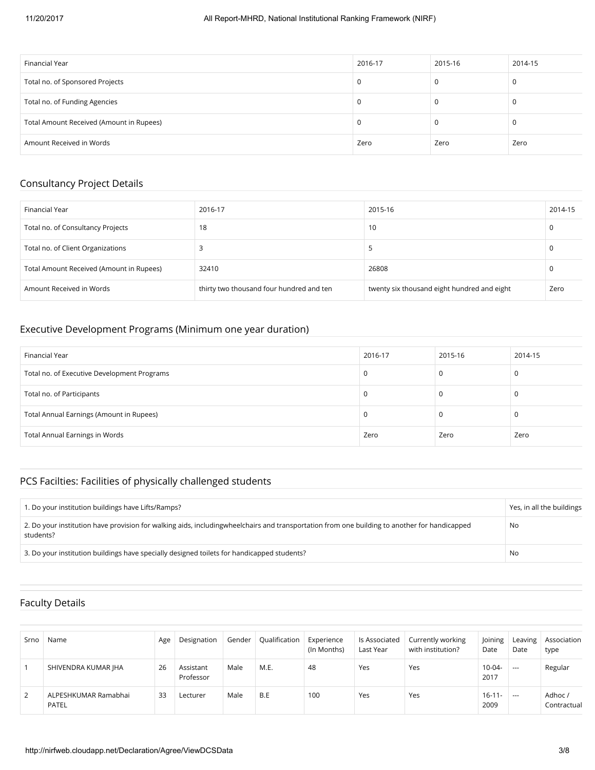| Financial Year                           | 2016-17 | 2015-16 | 2014-15 |
|------------------------------------------|---------|---------|---------|
| Total no. of Sponsored Projects          |         | υ       |         |
| Total no. of Funding Agencies            |         |         |         |
| Total Amount Received (Amount in Rupees) |         |         |         |
| Amount Received in Words                 | Zero    | Zero    | Zero    |

### Consultancy Project Details

| Financial Year                           | 2016-17                                  | 2015-16                                     | 2014-15 |
|------------------------------------------|------------------------------------------|---------------------------------------------|---------|
| Total no. of Consultancy Projects        | 18                                       | 10                                          |         |
| Total no. of Client Organizations        |                                          |                                             |         |
| Total Amount Received (Amount in Rupees) | 32410                                    | 26808                                       |         |
| Amount Received in Words                 | thirty two thousand four hundred and ten | twenty six thousand eight hundred and eight | Zero    |

#### Executive Development Programs (Minimum one year duration)

| Financial Year                              | 2016-17 | 2015-16 | 2014-15 |
|---------------------------------------------|---------|---------|---------|
| Total no. of Executive Development Programs |         |         |         |
| Total no. of Participants                   |         |         |         |
| Total Annual Earnings (Amount in Rupees)    |         |         |         |
| <b>Total Annual Earnings in Words</b>       | Zero    | Zero    | Zero    |

## PCS Facilties: Facilities of physically challenged students

| 1. Do your institution buildings have Lifts/Ramps?                                                                                                        | Yes, in all the buildings |
|-----------------------------------------------------------------------------------------------------------------------------------------------------------|---------------------------|
| 2. Do your institution have provision for walking aids, includingwheelchairs and transportation from one building to another for handicapped<br>students? | No                        |
| 3. Do your institution buildings have specially designed toilets for handicapped students?                                                                | No                        |

### Faculty Details

| Srno | Name                          | Age | Designation            | Gender | Qualification | Experience<br>(In Months) | ls Associated<br>Last Year | Currently working<br>with institution? | Joining<br>Date     | Leaving<br>Date | Association<br>type   |
|------|-------------------------------|-----|------------------------|--------|---------------|---------------------------|----------------------------|----------------------------------------|---------------------|-----------------|-----------------------|
|      | SHIVENDRA KUMAR JHA           | 26  | Assistant<br>Professor | Male   | M.E.          | 48                        | Yes                        | Yes                                    | 10-04-<br>2017      | $---$           | Regular               |
| 2    | ALPESHKUMAR Ramabhai<br>PATEL | 33  | Lecturer               | Male   | B.E           | 100                       | Yes                        | Yes                                    | $16 - 11 -$<br>2009 | $- - -$         | Adhoc/<br>Contractual |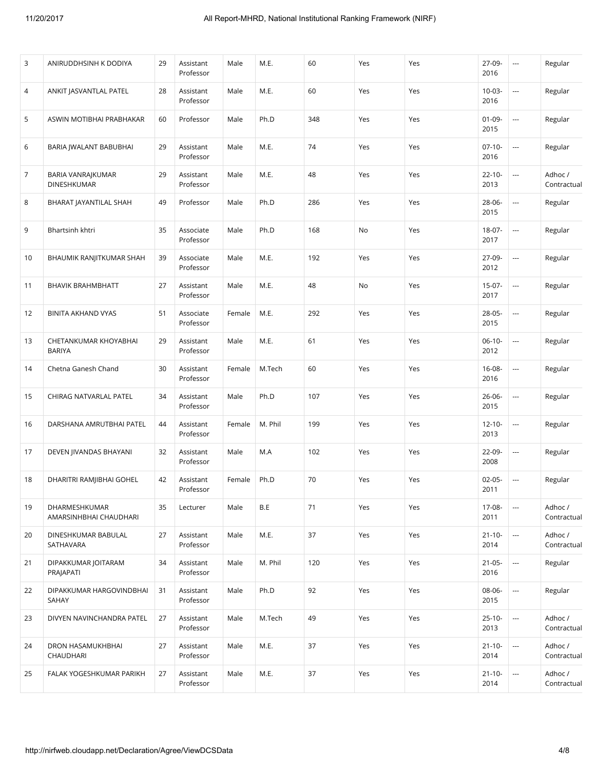| 3  | ANIRUDDHSINH K DODIYA                   | 29 | Assistant<br>Professor | Male   | M.E.    | 60  | Yes | Yes | 27-09-<br>2016      | $\overline{\phantom{a}}$ | Regular                |
|----|-----------------------------------------|----|------------------------|--------|---------|-----|-----|-----|---------------------|--------------------------|------------------------|
| 4  | ANKIT JASVANTLAL PATEL                  | 28 | Assistant<br>Professor | Male   | M.E.    | 60  | Yes | Yes | $10 - 03 -$<br>2016 | $\hspace{0.05cm} \ldots$ | Regular                |
| 5  | ASWIN MOTIBHAI PRABHAKAR                | 60 | Professor              | Male   | Ph.D    | 348 | Yes | Yes | $01 - 09 -$<br>2015 | $\overline{\phantom{a}}$ | Regular                |
| 6  | BARIA JWALANT BABUBHAI                  | 29 | Assistant<br>Professor | Male   | M.E.    | 74  | Yes | Yes | $07-10-$<br>2016    | $\overline{\phantom{a}}$ | Regular                |
| 7  | BARIA VANRAJKUMAR<br>DINESHKUMAR        | 29 | Assistant<br>Professor | Male   | M.E.    | 48  | Yes | Yes | $22 - 10 -$<br>2013 | $\hspace{0.05cm} \ldots$ | Adhoc /<br>Contractual |
| 8  | BHARAT JAYANTILAL SHAH                  | 49 | Professor              | Male   | Ph.D    | 286 | Yes | Yes | 28-06-<br>2015      | $\hspace{0.05cm} \ldots$ | Regular                |
| 9  | Bhartsinh khtri                         | 35 | Associate<br>Professor | Male   | Ph.D    | 168 | No  | Yes | 18-07-<br>2017      | $\hspace{0.05cm} \ldots$ | Regular                |
| 10 | BHAUMIK RANJITKUMAR SHAH                | 39 | Associate<br>Professor | Male   | M.E.    | 192 | Yes | Yes | 27-09-<br>2012      | $\sim$                   | Regular                |
| 11 | <b>BHAVIK BRAHMBHATT</b>                | 27 | Assistant<br>Professor | Male   | M.E.    | 48  | No  | Yes | $15-07-$<br>2017    | $\hspace{0.05cm} \ldots$ | Regular                |
| 12 | <b>BINITA AKHAND VYAS</b>               | 51 | Associate<br>Professor | Female | M.E.    | 292 | Yes | Yes | 28-05-<br>2015      | $\hspace{0.05cm} \ldots$ | Regular                |
| 13 | CHETANKUMAR KHOYABHAI<br><b>BARIYA</b>  | 29 | Assistant<br>Professor | Male   | M.E.    | 61  | Yes | Yes | $06-10-$<br>2012    | $\hspace{0.05cm} \cdots$ | Regular                |
| 14 | Chetna Ganesh Chand                     | 30 | Assistant<br>Professor | Female | M.Tech  | 60  | Yes | Yes | 16-08-<br>2016      | $\overline{\phantom{a}}$ | Regular                |
| 15 | CHIRAG NATVARLAL PATEL                  | 34 | Assistant<br>Professor | Male   | Ph.D    | 107 | Yes | Yes | $26 - 06 -$<br>2015 | $\hspace{0.05cm} \ldots$ | Regular                |
| 16 | DARSHANA AMRUTBHAI PATEL                | 44 | Assistant<br>Professor | Female | M. Phil | 199 | Yes | Yes | $12 - 10 -$<br>2013 | $\hspace{0.05cm} \ldots$ | Regular                |
| 17 | DEVEN JIVANDAS BHAYANI                  | 32 | Assistant<br>Professor | Male   | M.A     | 102 | Yes | Yes | 22-09-<br>2008      | $\hspace{0.05cm} \cdots$ | Regular                |
| 18 | DHARITRI RAMJIBHAI GOHEL                | 42 | Assistant<br>Professor | Female | Ph.D    | 70  | Yes | Yes | $02 - 05 -$<br>2011 | $\sim$                   | Regular                |
| 19 | DHARMESHKUMAR<br>AMARSINHBHAI CHAUDHARI | 35 | Lecturer               | Male   | B.E     | 71  | Yes | Yes | 17-08-<br>2011      | $\overline{\phantom{a}}$ | Adhoc /<br>Contractual |
| 20 | DINESHKUMAR BABULAL<br>SATHAVARA        | 27 | Assistant<br>Professor | Male   | M.E.    | 37  | Yes | Yes | $21 - 10 -$<br>2014 | $\hspace{0.05cm} \cdots$ | Adhoc /<br>Contractual |
| 21 | DIPAKKUMAR JOITARAM<br>PRAJAPATI        | 34 | Assistant<br>Professor | Male   | M. Phil | 120 | Yes | Yes | $21 - 05 -$<br>2016 | $\overline{\phantom{a}}$ | Regular                |
| 22 | DIPAKKUMAR HARGOVINDBHAI<br>SAHAY       | 31 | Assistant<br>Professor | Male   | Ph.D    | 92  | Yes | Yes | 08-06-<br>2015      | $\hspace{0.05cm}\ldots$  | Regular                |
| 23 | DIVYEN NAVINCHANDRA PATEL               | 27 | Assistant<br>Professor | Male   | M.Tech  | 49  | Yes | Yes | $25 - 10 -$<br>2013 | $\hspace{0.05cm} \ldots$ | Adhoc /<br>Contractual |
| 24 | DRON HASAMUKHBHAI<br>CHAUDHARI          | 27 | Assistant<br>Professor | Male   | M.E.    | 37  | Yes | Yes | $21 - 10 -$<br>2014 | $\hspace{0.05cm} \cdots$ | Adhoc /<br>Contractual |
| 25 | FALAK YOGESHKUMAR PARIKH                | 27 | Assistant<br>Professor | Male   | M.E.    | 37  | Yes | Yes | $21 - 10 -$<br>2014 | $\hspace{0.05cm} \ldots$ | Adhoc /<br>Contractual |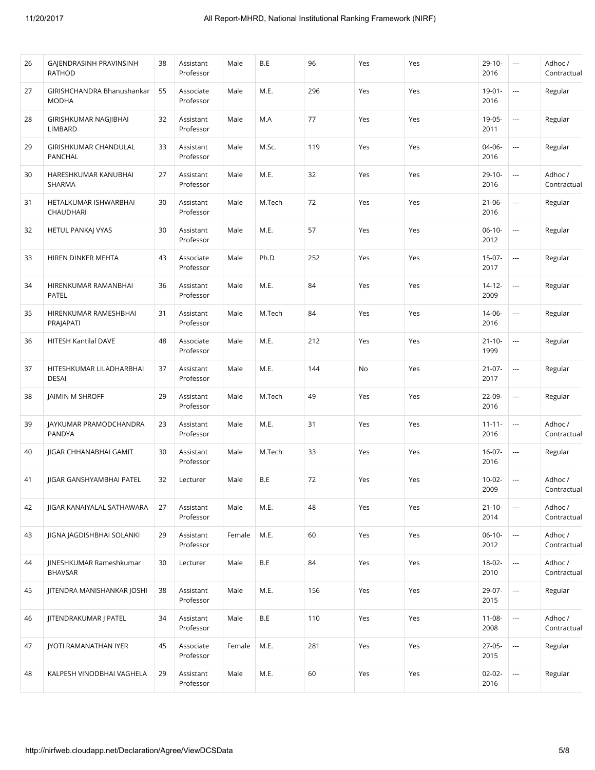| 26 | GAJENDRASINH PRAVINSINH<br><b>RATHOD</b>   | 38 | Assistant<br>Professor | Male   | B.E    | 96  | Yes | Yes | $29 - 10 -$<br>2016 | ---                      | Adhoc/<br>Contractual  |
|----|--------------------------------------------|----|------------------------|--------|--------|-----|-----|-----|---------------------|--------------------------|------------------------|
| 27 | GIRISHCHANDRA Bhanushankar<br><b>MODHA</b> | 55 | Associate<br>Professor | Male   | M.E.   | 296 | Yes | Yes | $19 - 01 -$<br>2016 | $\overline{\phantom{a}}$ | Regular                |
| 28 | GIRISHKUMAR NAGJIBHAI<br>LIMBARD           | 32 | Assistant<br>Professor | Male   | M.A    | 77  | Yes | Yes | 19-05-<br>2011      | $\overline{\phantom{a}}$ | Regular                |
| 29 | GIRISHKUMAR CHANDULAL<br>PANCHAL           | 33 | Assistant<br>Professor | Male   | M.Sc.  | 119 | Yes | Yes | 04-06-<br>2016      | i.                       | Regular                |
| 30 | HARESHKUMAR KANUBHAI<br>SHARMA             | 27 | Assistant<br>Professor | Male   | M.E.   | 32  | Yes | Yes | $29-10-$<br>2016    | $\overline{\phantom{a}}$ | Adhoc /<br>Contractual |
| 31 | HETALKUMAR ISHWARBHAI<br>CHAUDHARI         | 30 | Assistant<br>Professor | Male   | M.Tech | 72  | Yes | Yes | $21 - 06 -$<br>2016 | $\overline{\phantom{a}}$ | Regular                |
| 32 | HETUL PANKAJ VYAS                          | 30 | Assistant<br>Professor | Male   | M.E.   | 57  | Yes | Yes | $06-10-$<br>2012    | $\overline{\phantom{a}}$ | Regular                |
| 33 | HIREN DINKER MEHTA                         | 43 | Associate<br>Professor | Male   | Ph.D   | 252 | Yes | Yes | $15-07-$<br>2017    | $\overline{\phantom{a}}$ | Regular                |
| 34 | HIRENKUMAR RAMANBHAI<br>PATEL              | 36 | Assistant<br>Professor | Male   | M.E.   | 84  | Yes | Yes | $14 - 12 -$<br>2009 | $\overline{\phantom{a}}$ | Regular                |
| 35 | HIRENKUMAR RAMESHBHAI<br>PRAJAPATI         | 31 | Assistant<br>Professor | Male   | M.Tech | 84  | Yes | Yes | 14-06-<br>2016      | $\overline{\phantom{a}}$ | Regular                |
| 36 | HITESH Kantilal DAVE                       | 48 | Associate<br>Professor | Male   | M.E.   | 212 | Yes | Yes | $21 - 10 -$<br>1999 | $\overline{\phantom{a}}$ | Regular                |
| 37 | HITESHKUMAR LILADHARBHAI<br><b>DESAI</b>   | 37 | Assistant<br>Professor | Male   | M.E.   | 144 | No  | Yes | $21 - 07 -$<br>2017 | $\overline{\phantom{a}}$ | Regular                |
| 38 | JAIMIN M SHROFF                            | 29 | Assistant<br>Professor | Male   | M.Tech | 49  | Yes | Yes | 22-09-<br>2016      | $\overline{\phantom{a}}$ | Regular                |
| 39 | JAYKUMAR PRAMODCHANDRA<br>PANDYA           | 23 | Assistant<br>Professor | Male   | M.E.   | 31  | Yes | Yes | $11 - 11 -$<br>2016 | $\overline{\phantom{a}}$ | Adhoc /<br>Contractual |
| 40 | JIGAR CHHANABHAI GAMIT                     | 30 | Assistant<br>Professor | Male   | M.Tech | 33  | Yes | Yes | $16-07-$<br>2016    | $\overline{\phantom{a}}$ | Regular                |
| 41 | JIGAR GANSHYAMBHAI PATEL                   | 32 | Lecturer               | Male   | B.E    | 72  | Yes | Yes | $10-02-$<br>2009    | $\cdots$                 | Adhoc /<br>Contractual |
| 42 | <b>IIGAR KANAIYALAL SATHAWARA</b>          | 27 | Assistant<br>Professor | Male   | M.E.   | 48  | Yes | Yes | $21 - 10 -$<br>2014 | $\overline{\phantom{a}}$ | Adhoc /<br>Contractual |
| 43 | JIGNA JAGDISHBHAI SOLANKI                  | 29 | Assistant<br>Professor | Female | M.E.   | 60  | Yes | Yes | $06-10-$<br>2012    | $\cdots$                 | Adhoc /<br>Contractual |
| 44 | JINESHKUMAR Rameshkumar<br><b>BHAVSAR</b>  | 30 | Lecturer               | Male   | B.E    | 84  | Yes | Yes | $18 - 02 -$<br>2010 | $\hspace{0.05cm}\ldots$  | Adhoc /<br>Contractual |
| 45 | JITENDRA MANISHANKAR JOSHI                 | 38 | Assistant<br>Professor | Male   | M.E.   | 156 | Yes | Yes | 29-07-<br>2015      | $\hspace{0.05cm} \ldots$ | Regular                |
| 46 | JITENDRAKUMAR J PATEL                      | 34 | Assistant<br>Professor | Male   | B.E    | 110 | Yes | Yes | $11 - 08 -$<br>2008 | $\overline{\phantom{a}}$ | Adhoc /<br>Contractual |
| 47 | JYOTI RAMANATHAN IYER                      | 45 | Associate<br>Professor | Female | M.E.   | 281 | Yes | Yes | $27-05-$<br>2015    | $\hspace{0.05cm}\ldots$  | Regular                |
| 48 | KALPESH VINODBHAI VAGHELA                  | 29 | Assistant<br>Professor | Male   | M.E.   | 60  | Yes | Yes | $02 - 02 -$<br>2016 | $\hspace{0.05cm}\ldots$  | Regular                |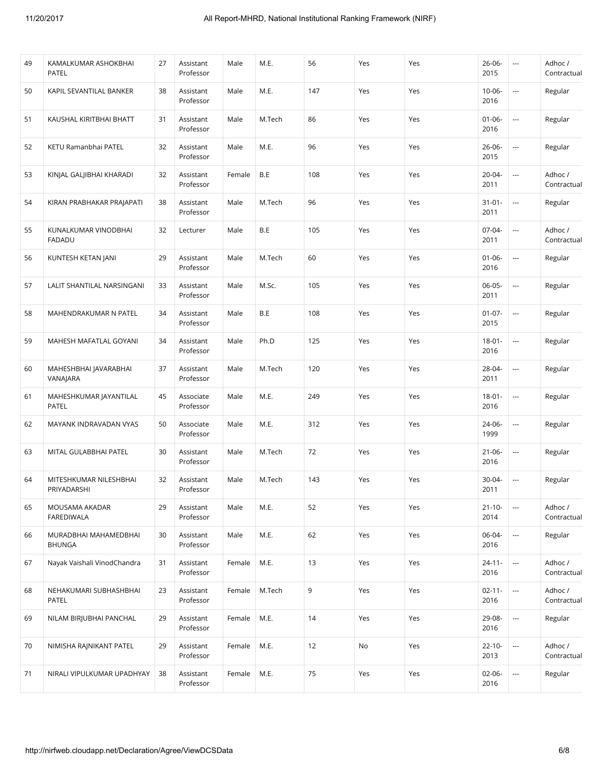| 49 | KAMALKUMAR ASHOKBHAI<br><b>PATEL</b>   | 27 | Assistant<br>Professor | Male   | M.E.   | 56  | Yes | Yes | $26 - 06 -$<br>2015 | $\overline{\phantom{a}}$ | Adhoc /<br>Contractual |
|----|----------------------------------------|----|------------------------|--------|--------|-----|-----|-----|---------------------|--------------------------|------------------------|
| 50 | KAPIL SEVANTILAL BANKER                | 38 | Assistant<br>Professor | Male   | M.E.   | 147 | Yes | Yes | $10 - 06 -$<br>2016 | ---                      | Regular                |
| 51 | KAUSHAL KIRITBHAI BHATT                | 31 | Assistant<br>Professor | Male   | M.Tech | 86  | Yes | Yes | $01 - 06 -$<br>2016 | $\overline{\phantom{a}}$ | Regular                |
| 52 | KETU Ramanbhai PATEL                   | 32 | Assistant<br>Professor | Male   | M.E.   | 96  | Yes | Yes | $26 - 06 -$<br>2015 | ---                      | Regular                |
| 53 | KINJAL GALJIBHAI KHARADI               | 32 | Assistant<br>Professor | Female | B.E    | 108 | Yes | Yes | $20 - 04 -$<br>2011 | ---                      | Adhoc/<br>Contractual  |
| 54 | KIRAN PRABHAKAR PRAJAPATI              | 38 | Assistant<br>Professor | Male   | M.Tech | 96  | Yes | Yes | $31 - 01 -$<br>2011 | ---                      | Regular                |
| 55 | KUNALKUMAR VINODBHAI<br><b>FADADU</b>  | 32 | Lecturer               | Male   | B.E    | 105 | Yes | Yes | $07-04-$<br>2011    | $\overline{\phantom{a}}$ | Adhoc /<br>Contractual |
| 56 | KUNTESH KETAN JANI                     | 29 | Assistant<br>Professor | Male   | M.Tech | 60  | Yes | Yes | $01 - 06 -$<br>2016 | ---                      | Regular                |
| 57 | LALIT SHANTILAL NARSINGANI             | 33 | Assistant<br>Professor | Male   | M.Sc.  | 105 | Yes | Yes | $06 - 05 -$<br>2011 | $\overline{\phantom{a}}$ | Regular                |
| 58 | MAHENDRAKUMAR N PATEL                  | 34 | Assistant<br>Professor | Male   | B.E    | 108 | Yes | Yes | $01 - 07 -$<br>2015 | $\overline{\phantom{a}}$ | Regular                |
| 59 | MAHESH MAFATLAL GOYANI                 | 34 | Assistant<br>Professor | Male   | Ph.D   | 125 | Yes | Yes | $18 - 01 -$<br>2016 | $\cdots$                 | Regular                |
| 60 | MAHESHBHAI JAVARABHAI<br>VANAJARA      | 37 | Assistant<br>Professor | Male   | M.Tech | 120 | Yes | Yes | 28-04-<br>2011      | $\overline{\phantom{a}}$ | Regular                |
| 61 | MAHESHKUMAR JAYANTILAL<br><b>PATEL</b> | 45 | Associate<br>Professor | Male   | M.E.   | 249 | Yes | Yes | $18 - 01 -$<br>2016 | $\overline{\phantom{a}}$ | Regular                |
| 62 | MAYANK INDRAVADAN VYAS                 | 50 | Associate<br>Professor | Male   | M.E.   | 312 | Yes | Yes | 24-06-<br>1999      | $\overline{\phantom{a}}$ | Regular                |
| 63 | MITAL GULABBHAI PATEL                  | 30 | Assistant<br>Professor | Male   | M.Tech | 72  | Yes | Yes | $21 - 06 -$<br>2016 | $\overline{\phantom{a}}$ | Regular                |
| 64 | MITESHKUMAR NILESHBHAI<br>PRIYADARSHI  | 32 | Assistant<br>Professor | Male   | M.Tech | 143 | Yes | Yes | $30 - 04 -$<br>2011 | $\overline{\phantom{a}}$ | Regular                |
| 65 | MOUSAMA AKADAR<br><b>FAREDIWALA</b>    | 29 | Assistant<br>Professor | Male   | M.E.   | 52  | Yes | Yes | $21 - 10 -$<br>2014 | ---                      | Adhoc /<br>Contractual |
| 66 | MURADBHAI MAHAMEDBHAI<br><b>BHUNGA</b> | 30 | Assistant<br>Professor | Male   | M.E.   | 62  | Yes | Yes | 06-04-<br>2016      | ---                      | Regular                |
| 67 | Nayak Vaishali VinodChandra            | 31 | Assistant<br>Professor | Female | M.E.   | 13  | Yes | Yes | $24 - 11 -$<br>2016 | $\overline{\phantom{a}}$ | Adhoc /<br>Contractual |
| 68 | NEHAKUMARI SUBHASHBHAI<br><b>PATEL</b> | 23 | Assistant<br>Professor | Female | M.Tech | 9   | Yes | Yes | $02 - 11 -$<br>2016 |                          | Adhoc /<br>Contractual |
| 69 | NILAM BIRJUBHAI PANCHAL                | 29 | Assistant<br>Professor | Female | M.E.   | 14  | Yes | Yes | 29-08-<br>2016      |                          | Regular                |
| 70 | NIMISHA RAJNIKANT PATEL                | 29 | Assistant<br>Professor | Female | M.E.   | 12  | No  | Yes | $22 - 10 -$<br>2013 | ---                      | Adhoc /<br>Contractual |
| 71 | NIRALI VIPULKUMAR UPADHYAY             | 38 | Assistant<br>Professor | Female | M.E.   | 75  | Yes | Yes | $02 - 06 -$<br>2016 | ---                      | Regular                |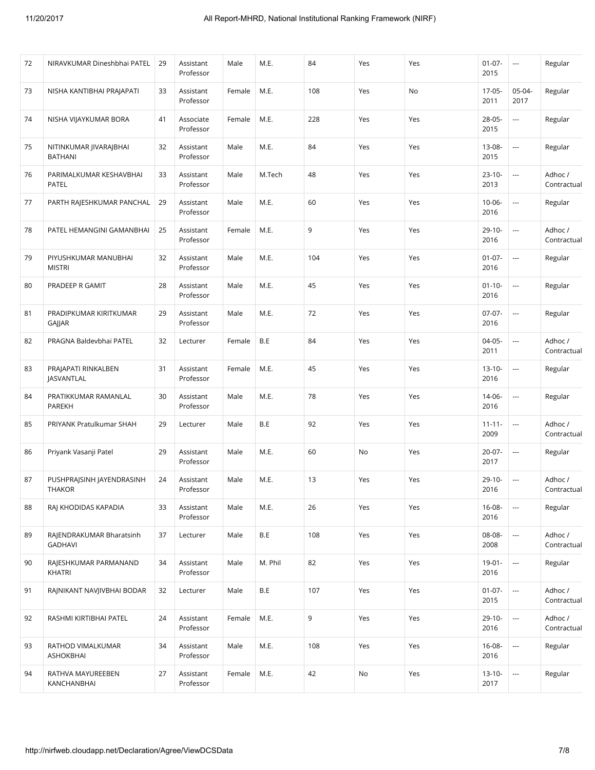| 72 | NIRAVKUMAR Dineshbhai PATEL              | 29 | Assistant<br>Professor | Male   | M.E.    | 84  | Yes | Yes | $01 - 07 -$<br>2015 | $\hspace{0.05cm} \cdots$ | Regular                |
|----|------------------------------------------|----|------------------------|--------|---------|-----|-----|-----|---------------------|--------------------------|------------------------|
| 73 | NISHA KANTIBHAI PRAJAPATI                | 33 | Assistant<br>Professor | Female | M.E.    | 108 | Yes | No  | 17-05-<br>2011      | 05-04-<br>2017           | Regular                |
| 74 | NISHA VIJAYKUMAR BORA                    | 41 | Associate<br>Professor | Female | M.E.    | 228 | Yes | Yes | $28 - 05 -$<br>2015 | $\scriptstyle\cdots$     | Regular                |
| 75 | NITINKUMAR JIVARAJBHAI<br><b>BATHANI</b> | 32 | Assistant<br>Professor | Male   | M.E.    | 84  | Yes | Yes | 13-08-<br>2015      | $\hspace{0.05cm} \ldots$ | Regular                |
| 76 | PARIMALKUMAR KESHAVBHAI<br>PATEL         | 33 | Assistant<br>Professor | Male   | M.Tech  | 48  | Yes | Yes | $23 - 10 -$<br>2013 | $\hspace{0.05cm} \ldots$ | Adhoc /<br>Contractual |
| 77 | PARTH RAJESHKUMAR PANCHAL                | 29 | Assistant<br>Professor | Male   | M.E.    | 60  | Yes | Yes | $10 - 06 -$<br>2016 | $\overline{\phantom{a}}$ | Regular                |
| 78 | PATEL HEMANGINI GAMANBHAI                | 25 | Assistant<br>Professor | Female | M.E.    | 9   | Yes | Yes | $29 - 10 -$<br>2016 | $\scriptstyle\cdots$     | Adhoc /<br>Contractual |
| 79 | PIYUSHKUMAR MANUBHAI<br><b>MISTRI</b>    | 32 | Assistant<br>Professor | Male   | M.E.    | 104 | Yes | Yes | $01 - 07 -$<br>2016 | $\overline{\phantom{a}}$ | Regular                |
| 80 | PRADEEP R GAMIT                          | 28 | Assistant<br>Professor | Male   | M.E.    | 45  | Yes | Yes | $01 - 10 -$<br>2016 | $\overline{\phantom{a}}$ | Regular                |
| 81 | PRADIPKUMAR KIRITKUMAR<br>GAJJAR         | 29 | Assistant<br>Professor | Male   | M.E.    | 72  | Yes | Yes | $07-07-$<br>2016    | $\overline{\phantom{a}}$ | Regular                |
| 82 | PRAGNA Baldevbhai PATEL                  | 32 | Lecturer               | Female | B.E     | 84  | Yes | Yes | $04-05-$<br>2011    | $\sim$                   | Adhoc/<br>Contractual  |
| 83 | PRAJAPATI RINKALBEN<br><b>JASVANTLAL</b> | 31 | Assistant<br>Professor | Female | M.E.    | 45  | Yes | Yes | $13 - 10 -$<br>2016 | $\overline{\phantom{a}}$ | Regular                |
| 84 | PRATIKKUMAR RAMANLAL<br>PAREKH           | 30 | Assistant<br>Professor | Male   | M.E.    | 78  | Yes | Yes | 14-06-<br>2016      | $\overline{\phantom{a}}$ | Regular                |
| 85 | PRIYANK Pratulkumar SHAH                 | 29 | Lecturer               | Male   | B.E     | 92  | Yes | Yes | $11 - 11 -$<br>2009 | $\hspace{0.05cm} \ldots$ | Adhoc /<br>Contractual |
| 86 | Priyank Vasanji Patel                    | 29 | Assistant<br>Professor | Male   | M.E.    | 60  | No  | Yes | $20 - 07 -$<br>2017 | ---                      | Regular                |
| 87 | PUSHPRAJSINH JAYENDRASINH<br>THAKOR      | 24 | Assistant<br>Professor | Male   | M.E.    | 13  | Yes | Yes | $29-10-$<br>2016    | $\overline{\phantom{a}}$ | Adhoc /<br>Contractual |
| 88 | RAJ KHODIDAS KAPADIA                     | 33 | Assistant<br>Professor | Male   | M.E.    | 26  | Yes | Yes | $16 - 08 -$<br>2016 | $\overline{\phantom{a}}$ | Regular                |
| 89 | RAJENDRAKUMAR Bharatsinh<br>GADHAVI      | 37 | Lecturer               | Male   | B.E     | 108 | Yes | Yes | 08-08-<br>2008      | $\hspace{0.05cm} \ldots$ | Adhoc /<br>Contractual |
| 90 | RAJESHKUMAR PARMANAND<br><b>KHATRI</b>   | 34 | Assistant<br>Professor | Male   | M. Phil | 82  | Yes | Yes | $19 - 01 -$<br>2016 | $\overline{\phantom{a}}$ | Regular                |
| 91 | RAJNIKANT NAVJIVBHAI BODAR               | 32 | Lecturer               | Male   | B.E     | 107 | Yes | Yes | $01 - 07 -$<br>2015 | $\overline{a}$           | Adhoc /<br>Contractual |
| 92 | RASHMI KIRTIBHAI PATEL                   | 24 | Assistant<br>Professor | Female | M.E.    | 9   | Yes | Yes | $29-10-$<br>2016    | i.                       | Adhoc /<br>Contractual |
| 93 | RATHOD VIMALKUMAR<br><b>ASHOKBHAI</b>    | 34 | Assistant<br>Professor | Male   | M.E.    | 108 | Yes | Yes | $16 - 08 -$<br>2016 | $\overline{\phantom{a}}$ | Regular                |
| 94 | RATHVA MAYUREEBEN<br>KANCHANBHAI         | 27 | Assistant<br>Professor | Female | M.E.    | 42  | No  | Yes | $13 - 10 -$<br>2017 | $\hspace{0.05cm}\ldots$  | Regular                |
|    |                                          |    |                        |        |         |     |     |     |                     |                          |                        |